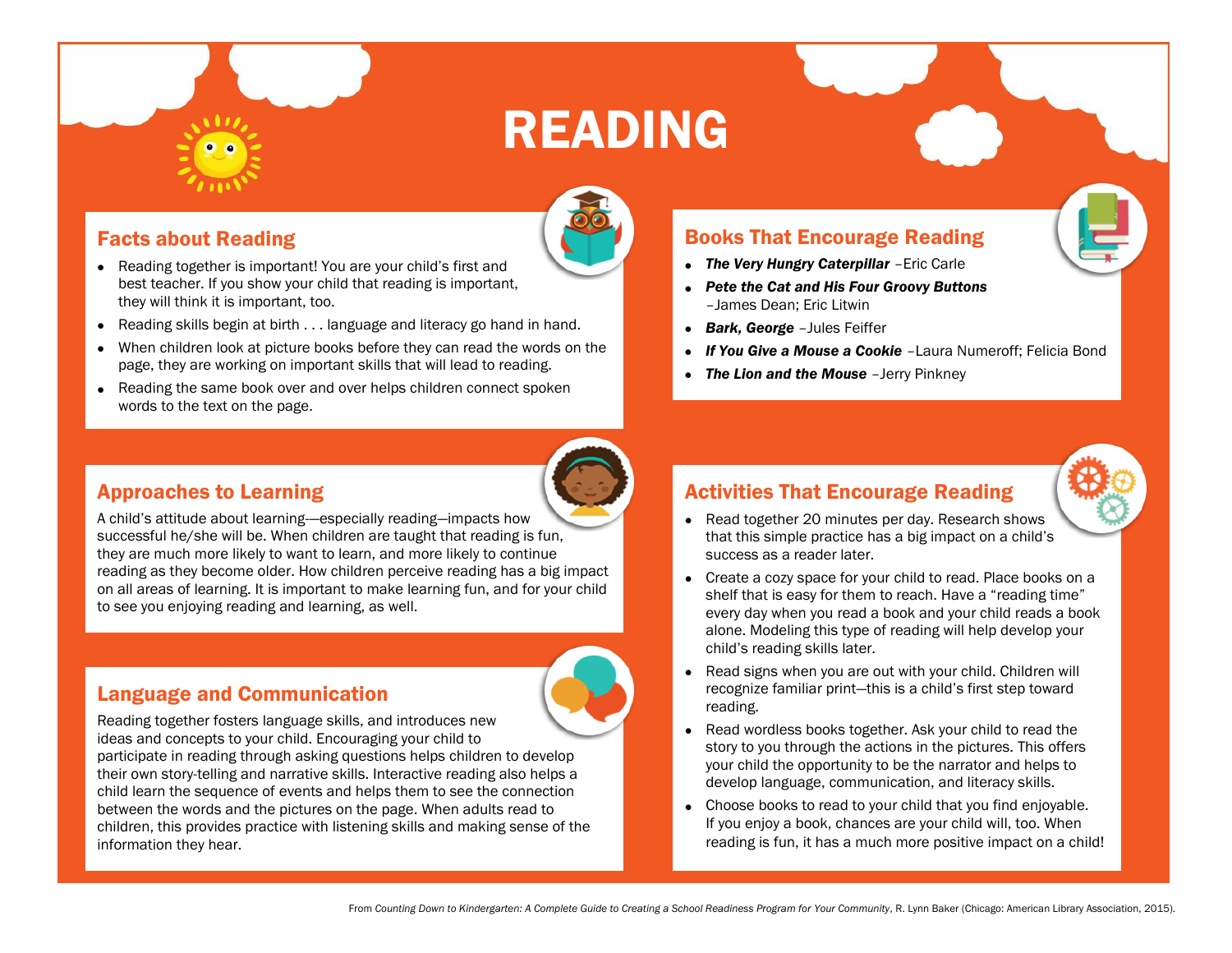## READING

#### Facts about Reading

- Reading together is important! You are your child's first and best teacher. If you show your child that reading is important, they will think it is important, too.
- Reading skills begin at birth . . . language and literacy go hand in hand.
- When children look at picture books before they can read the words on the page, they are working on important skills that will lead to reading.
- Reading the same book over and over helps children connect spoken words to the text on the page.

#### Approaches to Learning

A child's attitude about learning—especially reading—impacts how successful he/she will be. When children are taught that reading is fun, they are much more likely to want to learn, and more likely to continue reading as they become older. How children perceive reading has a big impact on all areas of learning. It is important to make learning fun, and for your child to see you enjoying reading and learning, as well.

#### Language and Communication

Reading together fosters language skills, and introduces new ideas and concepts to your child. Encouraging your child to participate in reading through asking questions helps children to develop their own story-telling and narrative skills. Interactive reading also helps a child learn the sequence of events and helps them to see the connection between the words and the pictures on the page. When adults read to children, this provides practice with listening skills and making sense of the information they hear.

#### Books That Encourage Reading

- *The Very Hungry Caterpillar* –Eric Carle
- *Pete the Cat and His Four Groovy Buttons* –James Dean; Eric Litwin
- *Bark, George* –Jules Feiffer
- *If You Give a Mouse a Cookie* –Laura Numeroff; Felicia Bond
- *The Lion and the Mouse* –Jerry Pinkney

### Activities That Encourage Reading

- Read together 20 minutes per day. Research shows that this simple practice has a big impact on a child's success as a reader later.
- Create a cozy space for your child to read. Place books on a shelf that is easy for them to reach. Have a "reading time" every day when you read a book and your child reads a book alone. Modeling this type of reading will help develop your child's reading skills later.
- Read signs when you are out with your child. Children will recognize familiar print—this is a child's first step toward reading.
- Read wordless books together. Ask your child to read the story to you through the actions in the pictures. This offers your child the opportunity to be the narrator and helps to develop language, communication, and literacy skills.
- Choose books to read to your child that you find enjoyable. If you enjoy a book, chances are your child will, too. When reading is fun, it has a much more positive impact on a child!